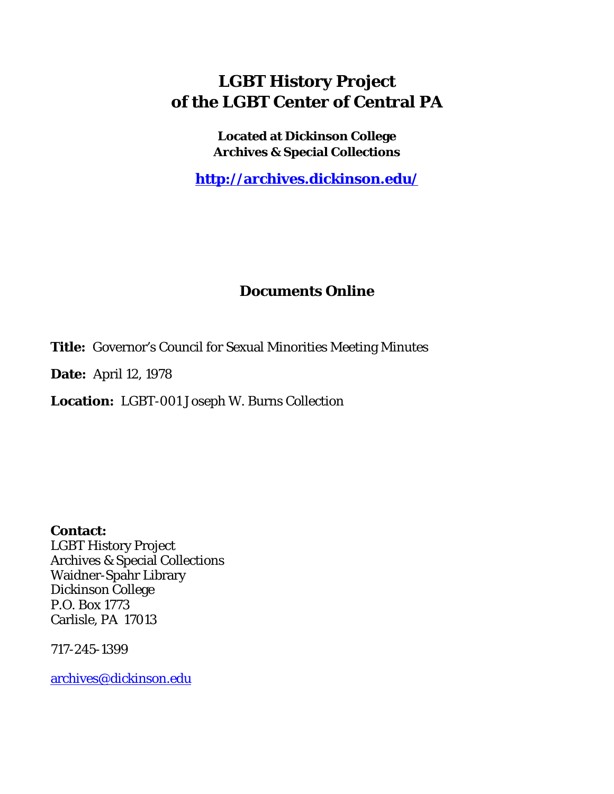# **LGBT History Project of the LGBT Center of Central PA**

**Located at Dickinson College Archives & Special Collections**

**<http://archives.dickinson.edu/>**

## **Documents Online**

**Title:** Governor's Council for Sexual Minorities Meeting Minutes

**Date:** April 12, 1978

**Location:** LGBT-001 Joseph W. Burns Collection

**Contact:**  LGBT History Project Archives & Special Collections Waidner-Spahr Library Dickinson College P.O. Box 1773 Carlisle, PA 17013

717-245-1399

[archives@dickinson.edu](mailto:archives@dickinson.edu)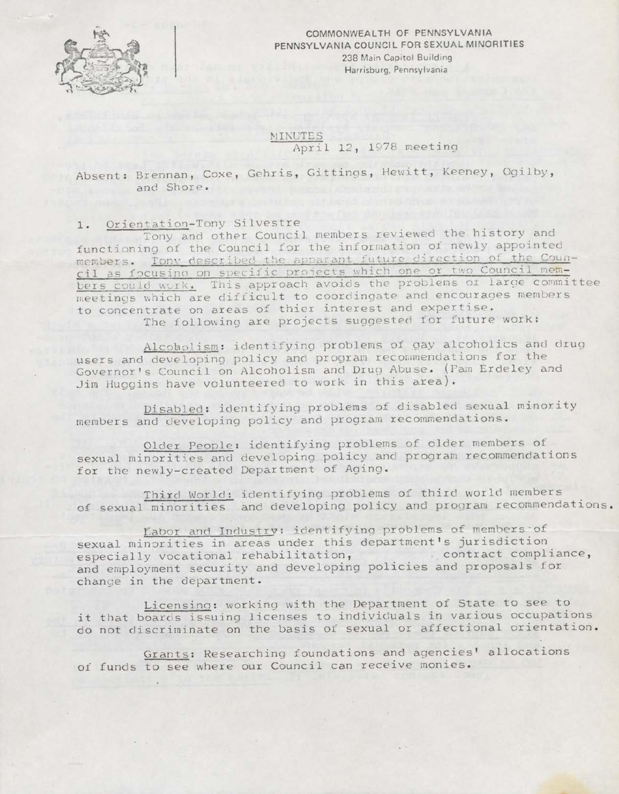

COMMONWEALTH OF PENNSYLVANIA PENNSYLVANIA COUNCIL FOR SEXUAL MINORITIES 238 Main Capitol Building Harrisburg, Pennsylvania

**MINUTES** April 12, 1978 meeting

Absent: Brennan, Coxe, Gehris, Gittings, Hewitt, Keeney, Ogilby, and Shore.

1. Orientation-Tony Silvestre

Tony and other Council members reviewed the history and functioning of the Council for the information of newly appointed members. Tony described the apparant future direction of the Counmembers. <u>IONY described the appendant future criterion of the Council mem-</u> bers could work. This approach avoids the problems or large committee meetings which are difficult to coordingate and encourages members to concentrate on areas of thier interest and expertise. The following are projects suggested for future work:

Alcoholism: identifying problems of gay alcoholics and drug users and developing policy and program recommendations for the Governor's Council on Alcoholism and Drug Abuse. (Pam Erdeley and Jim Huggins have volunteered to work in this area).

Disabled: identifying problems of disabled sexual minority members and developing policy and program recommendations.

Older People: identifying problems of older members of sexual minorities and developing policy and program recommendations for the newly-created Department of Aging.

Third World: identifying problems of third world members of sexual minorities and developing policy and program recommendations.

Ifabor and Industry: identifying problems of members'of sexual minorities in areas under this department's jurisdiction especially vocational rehabilitation, contract compliance, and employment security and developing policies and proposals for change in the department.

Licensing: working with the Department of State to see to it that boards issuing licenses to individuals in various occupations do not discriminate on the basis of sexual or affectional orientation.

Grants: Researching foundations and agencies' allocations of funds to see where our Council can receive monies.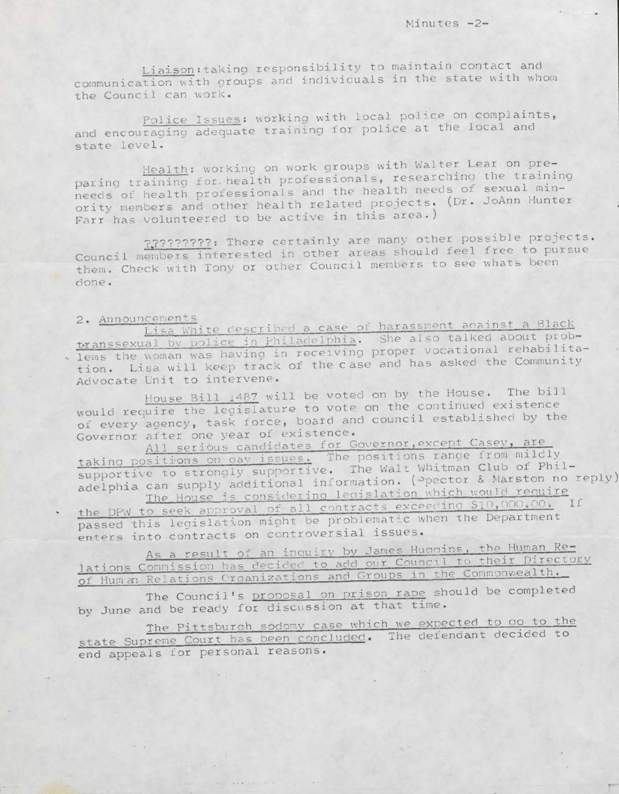Liaison: taking responsibility to maintain contact and communication with groups and individuals in the state with whom the Council can work.

Police Issues: working with local police on complaints, and encouraging adequate training for police at the local and state level.

Health: working on work groups with Walter Lear on preparing training for health professionals, researching the training needs of health professionals and the health needs of sexual minority members and other health related projects. (Dr. JoAnn Hunter Farr has volunteered to be active in this area.)

????????? There certainly are many other possible projects. Council members interested in other areas should feel free to pursue them. Check with Tony or other Council members to see whats been done.

#### 2. Announcements

Lisa White described a case of harassment against a Black transsexual by police in Philadelphia. She also talked about problems the woman was having in receiving proper vocational rehabilitation. Lisa will keep track of the case and has asked the Community Advocate Unit to intervene.

House Bill 1487 will be voted on by the House. The bill would require the legislature to vote on the continued existence of every agency, task force, board and council established by the Governor after one year of existence.

All serious candidates for Governor, except Casey, are taking positions on gay issues. The positions range from mildly supportive to strongly supportive. The Walt Whitman Club of Philadelphia can supply additional information. (Ppector & Marston no reply) The House is considering legislation which would require

the DPW to seek approval of all contracts exceeding \$10,000.00. If passed this legislation might be problematic when the Department enters into contracts on controversial issues.

As a result of an inquiry by James Huggins, the Human Relations Commission has decided to add our Council to their Directory of Hum an Relations Organizations and Groups in the Commonwealth.

The Council's proposal on prison rape should be completed by June and be ready for discussion at that time.

The Pittsburgh sodomy case which we expected to go to the state Supreme Court has been concluded. The defendant decided to end appeals for personal reasons.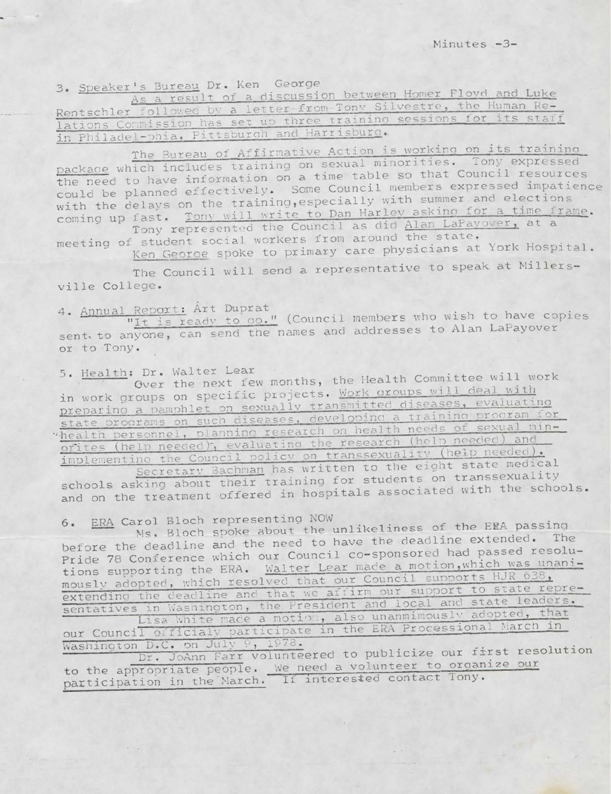3. Speaker's Bureau Dr. Ken George

As a result of a discussion between Homer Floyd and Luke Rentschler followed by a letter from Tony Silvestre, the Human Relations Commission has set up three training sessions for its staff in Philadel-phia, Pittsburgh and Harrisburg.

The Bureau of Affirmative Action is working on its training package which includes training on sexual minorities. Tony expressed the need to have information on a time table so that Council resources could be planned effectively. Some Council members expressed impatience with the delays on the training, especially with summer and elections coming up fast. Tony will write to Dan Harley asking for a time frame. Tony represented the Council as did Alan LaPayover, at a

meeting of student social workers from around the state.

Ken George spoke to primary care physicians at York Hospital.

The Council will send a representative to speak at Millersville College.

4. Annual Report: Art Duprat

"It is ready to go." (Council members who wish to have copies sent to anyone, can send the names and addresses to Alan LaPayover or to Tony.

5. Health: Dr. Walter Lear

Over the next few months, the Health Committee will work in work groups on specific projects. Work groups will deal with preparino a pamphlet on sexually transmitted diseases, evaluating state programs on such diseases, developing a training program for health personnel, planning research on health needs of sexual minorites (help needed), evaluating the research (help needed) and implementing the Council policy on transsexuality (help needed).

Secretary Bachman has written to the eight state medical schools asking about their training for students on transsexuality and on the treatment offered in hospitals associated with the schools.

ERA Carol Bloch representing NOW  $6.$ 

Ms. Bloch spoke about the unlikeliness of the ERA passing before the deadline and the need to have the deadline extended. The Pride 78 Conference which our Council co-sponsored had passed resolutions supporting the ERA. Walter Lear made a motion, which was unanimously adopted, which resolved that our Council supports HJR 638, sentatives in Washington, the President and local and state leaders. Lisa White made a motion, also unanminously adopted, that our Council officialy participate in the ERA Processional March in

Washington D.C. on July 9, 1978.

Dr. JoAnn Farr volunteered to publicize our first resolution to the appropriate people. We need a volunteer to organize our participation in the March. If interested contact Tony.